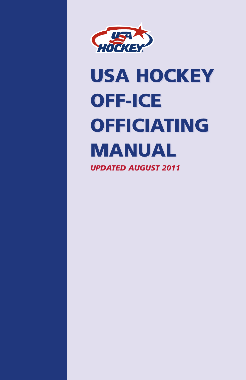

# **USA HOCKEY USA HOCKEY OFF-ICE OFF-ICE OFFICIATING OFFICIATING MANUAL MANUAL** *UPDATED AUGUST 2011*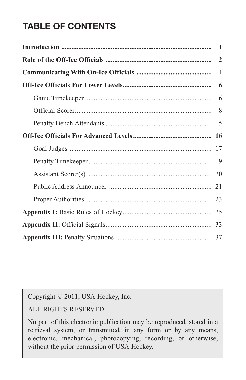# **TABLE OF CONTENTS**

Copyright © 2011, USA Hockey, Inc.

### ALL RIGHTS RESERVED

No part of this electronic publication may be reproduced, stored in a retrieval system, or transmitted, in any form or by any means, electronic, mechanical, photocopying, recording, or otherwise, without the prior permission of USA Hockey.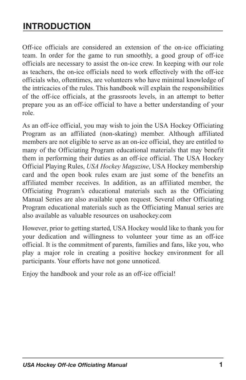# <span id="page-2-0"></span>**INTRODUCTION**

Off-ice officials are considered an extension of the on-ice officiating team. In order for the game to run smoothly, a good group of off-ice officials are necessary to assist the on-ice crew. In keeping with our role as teachers, the on-ice officials need to work effectively with the off-ice officials who, oftentimes, are volunteers who have minimal knowledge of the intricacies of the rules. This handbook will explain the responsibilities of the off-ice officials, at the grassroots levels, in an attempt to better prepare you as an off-ice official to have a better understanding of your role.

As an off-ice official, you may wish to join the USA Hockey Officiating Program as an affiliated (non-skating) member. Although affiliated members are not eligible to serve as an on-ice official, they are entitled to many of the Officiating Program educational materials that may benefit them in performing their duties as an off-ice official. The USA Hockey Official Playing Rules, *USA Hockey Magazine*, USA Hockey membership card and the open book rules exam are just some of the benefits an affiliated member receives. In addition, as an affiliated member, the Officiating Program's educational materials such as the Officiating Manual Series are also available upon request. Several other Officiating Program educational materials such as the Officiating Manual series are also available as valuable resources on usahockey.com

However, prior to getting started, USA Hockey would like to thank you for your dedication and willingness to volunteer your time as an off-ice official. It is the commitment of parents, families and fans, like you, who play a major role in creating a positive hockey environment for all participants. Your efforts have not gone unnoticed.

Enjoy the handbook and your role as an off-ice official!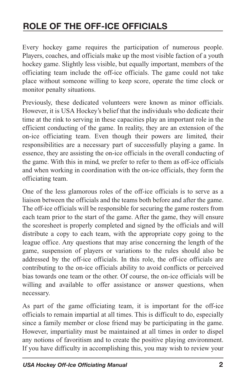# <span id="page-3-0"></span>**ROLE OF THE OFF-ICE OFFICIALS**

Every hockey game requires the participation of numerous people. Players, coaches, and officials make up the most visible faction of a youth hockey game. Slightly less visible, but equally important, members of the officiating team include the off-ice officials. The game could not take place without someone willing to keep score, operate the time clock or monitor penalty situations.

Previously, these dedicated volunteers were known as minor officials. However, it is USA Hockey's belief that the individuals who dedicate their time at the rink to serving in these capacities play an important role in the efficient conducting of the game. In reality, they are an extension of the on-ice officiating team. Even though their powers are limited, their responsibilities are a necessary part of successfully playing a game. In essence, they are assisting the on-ice officials in the overall conducting of the game. With this in mind, we prefer to refer to them as off-ice officials and when working in coordination with the on-ice officials, they form the officiating team.

One of the less glamorous roles of the off-ice officials is to serve as a liaison between the officials and the teams both before and after the game. The off-ice officials will be responsible for securing the game rosters from each team prior to the start of the game. After the game, they will ensure the scoresheet is properly completed and signed by the officials and will distribute a copy to each team, with the appropriate copy going to the league office. Any questions that may arise concerning the length of the game, suspension of players or variations to the rules should also be addressed by the off-ice officials. In this role, the off-ice officials are contributing to the on-ice officials ability to avoid conflicts or perceived bias towards one team or the other. Of course, the on-ice officials will be willing and available to offer assistance or answer questions, when necessary.

As part of the game officiating team, it is important for the off-ice officials to remain impartial at all times. This is difficult to do, especially since a family member or close friend may be participating in the game. However, impartiality must be maintained at all times in order to dispel any notions of favoritism and to create the positive playing environment. If you have difficulty in accomplishing this, you may wish to review your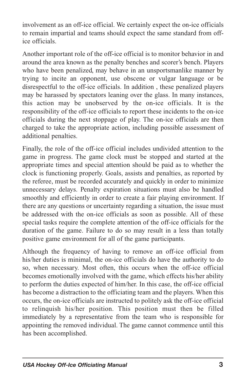involvement as an off-ice official. We certainly expect the on-ice officials to remain impartial and teams should expect the same standard from office officials.

Another important role of the off-ice official is to monitor behavior in and around the area known as the penalty benches and scorer's bench. Players who have been penalized, may behave in an unsportsmanlike manner by trying to incite an opponent, use obscene or vulgar language or be disrespectful to the off-ice officials. In addition , these penalized players may be harassed by spectators leaning over the glass. In many instances, this action may be unobserved by the on-ice officials. It is the responsibility of the off-ice officials to report these incidents to the on-ice officials during the next stoppage of play. The on-ice officials are then charged to take the appropriate action, including possible assessment of additional penalties.

Finally, the role of the off-ice official includes undivided attention to the game in progress. The game clock must be stopped and started at the appropriate times and special attention should be paid as to whether the clock is functioning properly. Goals, assists and penalties, as reported by the referee, must be recorded accurately and quickly in order to minimize unnecessary delays. Penalty expiration situations must also be handled smoothly and efficiently in order to create a fair playing environment. If there are any questions or uncertainty regarding a situation, the issue must be addressed with the on-ice officials as soon as possible. All of these special tasks require the complete attention of the off-ice officials for the duration of the game. Failure to do so may result in a less than totally positive game environment for all of the game participants.

Although the frequency of having to remove an off-ice official from his/her duties is minimal, the on-ice officials do have the authority to do so, when necessary. Most often, this occurs when the off-ice official becomes emotionally involved with the game, which effects his/her ability to perform the duties expected of him/her. In this case, the off-ice official has become a distraction to the officiating team and the players. When this occurs, the on-ice officials are instructed to politely ask the off-ice official to relinquish his/her position. This position must then be filled immediately by a representative from the team who is responsible for appointing the removed individual. The game cannot commence until this has been accomplished.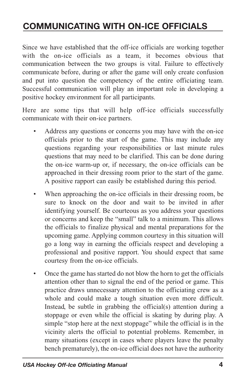# <span id="page-5-0"></span>**COMMUNICATING WITH ON-ICE OFFICIALS**

Since we have established that the off-ice officials are working together with the on-ice officials as a team, it becomes obvious that communication between the two groups is vital. Failure to effectively communicate before, during or after the game will only create confusion and put into question the competency of the entire officiating team. Successful communication will play an important role in developing a positive hockey environment for all participants.

Here are some tips that will help off-ice officials successfully communicate with their on-ice partners.

- Address any questions or concerns you may have with the on-ice officials prior to the start of the game. This may include any questions regarding your responsibilities or last minute rules questions that may need to be clarified. This can be done during the on-ice warm-up or, if necessary, the on-ice officials can be approached in their dressing room prior to the start of the game. A positive rapport can easily be established during this period.
- When approaching the on-ice officials in their dressing room, be sure to knock on the door and wait to be invited in after identifying yourself. Be courteous as you address your questions or concerns and keep the "small" talk to a minimum. This allows the officials to finalize physical and mental preparations for the upcoming game. Applying common courtesy in this situation will go a long way in earning the officials respect and developing a professional and positive rapport. You should expect that same courtesy from the on-ice officials.
- Once the game has started do not blow the horn to get the officials attention other than to signal the end of the period or game. This practice draws unnecessary attention to the officiating crew as a whole and could make a tough situation even more difficult. Instead, be subtle in grabbing the official(s) attention during a stoppage or even while the official is skating by during play. A simple "stop here at the next stoppage" while the official is in the vicinity alerts the official to potential problems. Remember, in many situations (except in cases where players leave the penalty bench prematurely), the on-ice official does not have the authority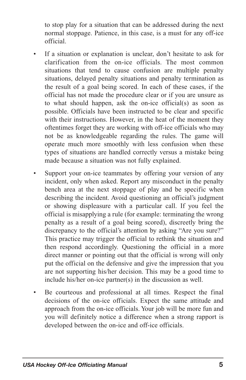to stop play for a situation that can be addressed during the next normal stoppage. Patience, in this case, is a must for any off-ice official.

- If a situation or explanation is unclear, don't hesitate to ask for clarification from the on-ice officials. The most common situations that tend to cause confusion are multiple penalty situations, delayed penalty situations and penalty termination as the result of a goal being scored. In each of these cases, if the official has not made the procedure clear or if you are unsure as to what should happen, ask the on-ice official(s) as soon as possible. Officials have been instructed to be clear and specific with their instructions. However, in the heat of the moment they oftentimes forget they are working with off-ice officials who may not be as knowledgeable regarding the rules. The game will operate much more smoothly with less confusion when these types of situations are handled correctly versus a mistake being made because a situation was not fully explained.
- Support your on-ice teammates by offering your version of any incident, only when asked. Report any misconduct in the penalty bench area at the next stoppage of play and be specific when describing the incident. Avoid questioning an official's judgment or showing displeasure with a particular call. If you feel the official is misapplying a rule (for example: terminating the wrong penalty as a result of a goal being scored), discreetly bring the discrepancy to the official's attention by asking "Are you sure?" This practice may trigger the official to rethink the situation and then respond accordingly. Questioning the official in a more direct manner or pointing out that the official is wrong will only put the official on the defensive and give the impression that you are not supporting his/her decision. This may be a good time to include his/her on-ice partner(s) in the discussion as well.
- Be courteous and professional at all times. Respect the final decisions of the on-ice officials. Expect the same attitude and approach from the on-ice officials. Your job will be more fun and you will definitely notice a difference when a strong rapport is developed between the on-ice and off-ice officials.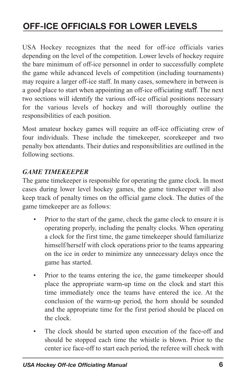# <span id="page-7-1"></span>**OFF-ICE OFFICIALS FOR LOWER LEVELS**

USA Hockey recognizes that the need for off-ice officials varies depending on the level of the competition. Lower levels of hockey require the bare minimum of off-ice personnel in order to successfully complete the game while advanced levels of competition (including tournaments) may require a larger off-ice staff. In many cases, somewhere in between is a good place to start when appointing an off-ice officiating staff. The next two sections will identify the various off-ice official positions necessary for the various levels of hockey and will thoroughly outline the responsibilities of each position.

Most amateur hockey games will require an off-ice officiating crew of four individuals. These include the timekeeper, scorekeeper and two penalty box attendants. Their duties and responsibilities are outlined in the following sections.

# *GAME TIMEKEEPER*

The game timekeeper is responsible for operating the game clock. In most cases during lower level hockey games, the game timekeeper will also keep track of penalty times on the official game clock. The duties of the game timekeeper are as follows:

- <span id="page-7-0"></span>• Prior to the start of the game, check the game clock to ensure it is operating properly, including the penalty clocks. When operating a clock for the first time, the game timekeeper should familiarize himself/herself with clock operations prior to the teams appearing on the ice in order to minimize any unnecessary delays once the game has started.
- Prior to the teams entering the ice, the game timekeeper should place the appropriate warm-up time on the clock and start this time immediately once the teams have entered the ice. At the conclusion of the warm-up period, the horn should be sounded and the appropriate time for the first period should be placed on the clock.
- The clock should be started upon execution of the face-off and should be stopped each time the whistle is blown. Prior to the center ice face-off to start each period, the referee will check with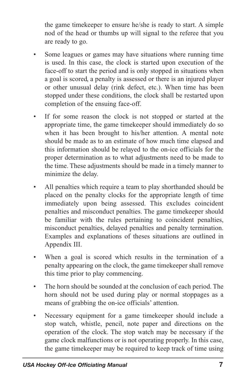the game timekeeper to ensure he/she is ready to start. A simple nod of the head or thumbs up will signal to the referee that you are ready to go.

- Some leagues or games may have situations where running time is used. In this case, the clock is started upon execution of the face-off to start the period and is only stopped in situations when a goal is scored, a penalty is assessed or there is an injured player or other unusual delay (rink defect, etc.). When time has been stopped under these conditions, the clock shall be restarted upon completion of the ensuing face-off.
- If for some reason the clock is not stopped or started at the appropriate time, the game timekeeper should immediately do so when it has been brought to his/her attention. A mental note should be made as to an estimate of how much time elapsed and this information should be relayed to the on-ice officials for the proper determination as to what adjustments need to be made to the time. These adjustments should be made in a timely manner to minimize the delay.
- All penalties which require a team to play shorthanded should be placed on the penalty clocks for the appropriate length of time immediately upon being assessed. This excludes coincident penalties and misconduct penalties. The game timekeeper should be familiar with the rules pertaining to coincident penalties, misconduct penalties, delayed penalties and penalty termination. Examples and explanations of theses situations are outlined in Appendix III.
- When a goal is scored which results in the termination of a penalty appearing on the clock, the game timekeeper shall remove this time prior to play commencing.
- The horn should be sounded at the conclusion of each period. The horn should not be used during play or normal stoppages as a means of grabbing the on-ice officials' attention.
- Necessary equipment for a game timekeeper should include a stop watch, whistle, pencil, note paper and directions on the operation of the clock. The stop watch may be necessary if the game clock malfunctions or is not operating properly. In this case, the game timekeeper may be required to keep track of time using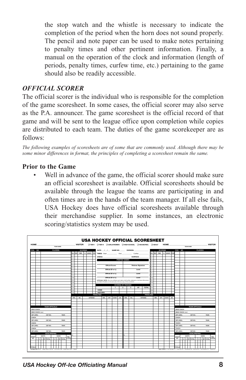<span id="page-9-0"></span>the stop watch and the whistle is necessary to indicate the completion of the period when the horn does not sound properly. The pencil and note paper can be used to make notes pertaining to penalty times and other pertinent information. Finally, a manual on the operation of the clock and information (length of periods, penalty times, curfew time, etc.) pertaining to the game should also be readily accessible.

#### *OFFICIAL SCORER*

The official scorer is the individual who is responsible for the completion of the game scoresheet. In some cases, the official scorer may also serve as the P.A. announcer. The game scoresheet is the official record of that game and will be sent to the league office upon completion while copies are distributed to each team. The duties of the game scorekeeper are as follows:

*The following examples of scoresheets are of some that are commonly used. Although there may be some minor differences in format, the principles of completing a scoresheet remain the same.*

#### **Prior to the Game**

Well in advance of the game, the official scorer should make sure an official scoresheet is available. Official scoresheets should be available through the league the teams are participating in and often times are in the hands of the team manager. If all else fails, USA Hockey does have official scoresheets available through their merchandise supplier. In some instances, an electronic scoring/statistics system may be used.



*USA Hockey Off-Ice Officiating Manual* **8**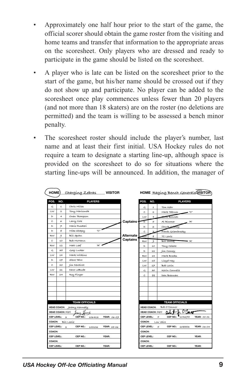- Approximately one half hour prior to the start of the game, the official scorer should obtain the game roster from the visiting and home teams and transfer that information to the appropriate areas on the scoresheet. Only players who are dressed and ready to participate in the game should be listed on the scoresheet.
- A player who is late can be listed on the scoresheet prior to the start of the game, but his/her name should be crossed out if they do not show up and participate. No player can be added to the scoresheet once play commences unless fewer than 20 players (and not more than 18 skaters) are on the roster (no deletions are permitted) and the team is willing to be assessed a bench minor penalty.
- The scoresheet roster should include the player's number, last name and at least their first initial. USA Hockey rules do not require a team to designate a starting line-up, although space is provided on the scoresheet to do so for situations where the starting line-ups will be announced. In addition, the manager of

|            |                           | HOME <i>Charging Zebras</i> VISITOR                  |            |                     |                           | HOME Raging Bench Generals VISITOR      |  |  |
|------------|---------------------------|------------------------------------------------------|------------|---------------------|---------------------------|-----------------------------------------|--|--|
| POS.       | NO.                       | <b>PLAYERS</b>                                       |            | POS.                | NO.                       | <b>PLAYERS</b>                          |  |  |
| G          | 1                         | Chris Milles                                         |            | G                   | 1                         | Tom Kehr                                |  |  |
| LW         | $\overline{a}$            | Tony Mariconda                                       |            | c                   | $\overline{a}$            | Mark Tabrum<br>"C"                      |  |  |
| Þ          | 4                         | Owen Thompson                                        |            | LW                  | 4                         | hrts Bonnell                            |  |  |
| c          | 6                         | Larry Cote                                           | Captains · | ъ                   | 5                         | "A"<br>Al Bloomer                       |  |  |
| Þ          | 笋                         | Marío Pusaterí                                       |            | Þ                   | 6                         | Chuck Createy                           |  |  |
| Þ          | g                         | $^{\prime\prime}$ C $^{\prime\prime}$<br>Mike Shapey |            | c.                  | v                         | Frank Golembrosky                       |  |  |
| RW         | 9                         | Bill Spohn                                           | Alternate  | eπ                  | g                         | TC Lewis                                |  |  |
| c          | 10                        | Bob McMann                                           | Captains   | RW                  | 9                         | <b>Bill Swita</b> <sub>1</sub><br>$-44$ |  |  |
| <b>RW</b>  | 12                        | "A"<br>Matt Leaf                                     |            | Þ                   | 10                        | Tony celeste                            |  |  |
| G          | 35                        | Greg Lucker                                          |            | Þ                   | 12                        | Jím Cooney                              |  |  |
| LW         | 14                        | Mark Wilkins                                         |            | RW                  | 14                        | Mark Brooks                             |  |  |
| Þ          | 17                        | Steve Tatro                                          |            | LW                  | 15                        | Lloyd Ney                               |  |  |
| c          | 20                        | Jim Dewhirst                                         |            | LW                  | 17                        | Bob Levin                               |  |  |
| 1 M        | 21                        | Dave LaBuda                                          |            | G                   | 30                        | Kevin Connelie                          |  |  |
| RW         | 24                        | Roy Finger                                           |            | c                   | 99                        | Dan Brennan                             |  |  |
|            |                           |                                                      |            |                     |                           |                                         |  |  |
|            |                           |                                                      |            |                     |                           |                                         |  |  |
|            |                           |                                                      |            |                     |                           |                                         |  |  |
|            |                           |                                                      |            |                     |                           |                                         |  |  |
|            |                           |                                                      |            |                     |                           |                                         |  |  |
|            |                           | <b>TEAM OFFICIALS</b>                                |            |                     |                           | <b>TEAM OFFICIALS</b>                   |  |  |
|            |                           | HEAD COACH: Jeremy Kennedy                           |            |                     | <b>HEAD COACH:</b>        | Bob O'Connor                            |  |  |
|            | <b>HEAD COACH: (sign)</b> | Kennedy<br>thams                                     |            |                     | <b>HEAD COACH: (sign)</b> | Alut J. O'Court                         |  |  |
|            | CEP LEVEL: 3              | CEP NO.:<br>YEAR: 06-07<br>106413                    |            | CEP LEVEL:          |                           | CEP NO.: 104675<br>5<br>YEAR: 00-01     |  |  |
| COACH:     |                           | Bill Leslie                                          |            | COACH:<br>Lou Vairo |                           |                                         |  |  |
|            | CEP LEVEL: 2              | CEP NO.:<br>YEAR: 05-06<br>100106                    |            | <b>CEP LEVEL:</b>   |                           | CEP NO.: 208553<br>YEAR: 03-04<br>5     |  |  |
| COACH:     |                           |                                                      |            | COACH:              |                           |                                         |  |  |
| CEP LEVEL: |                           | CEP NO.:<br>YEAR:                                    |            | CEP LEVEL:          |                           | CEP NO.:<br>YEAR:                       |  |  |
| COACH:     |                           |                                                      |            | COACH:              |                           |                                         |  |  |
| CEP LEVEL: |                           | CEP NO.:<br>YEAR:                                    |            | CEP LEVEL:          |                           | CEP NO.:<br><b>YEAR:</b>                |  |  |

*USA Hockey Off-Ice Officiating Manual* **9**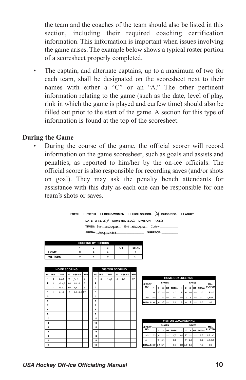the team and the coaches of the team should also be listed in this section, including their required coaching certification information. This information is important when issues involving the game arises. The example below shows a typical roster portion of a scoresheet properly completed.

The captain, and alternate captains, up to a maximum of two for each team, shall be designated on the scoresheet next to their names with either a "C" or an "A." The other pertinent information relating to the game (such as the date, level of play, rink in which the game is played and curfew time) should also be filled out prior to the start of the game. A section for this type of information is found at the top of the scoresheet.

#### **During the Game**

• During the course of the game, the official scorer will record information on the game scoresheet, such as goals and assists and penalties, as reported to him/her by the on-ice officials. The official scorer is also responsible for recording saves (and/or shots on goal). They may ask the penalty bench attendants for assistance with this duty as each one can be responsible for one team's shots or saves.

|                                       | $\Box$ TIERI $\Box$ TIERII $\Box$ GIRLS/WOMEN $\Box$ HIGH SCHOOL $\bigtimes$ HOUSE/REC. $\Box$ ADULT |  |                 |  |  |
|---------------------------------------|------------------------------------------------------------------------------------------------------|--|-----------------|--|--|
|                                       | DATE: 3/1 /07 GAME NO. 162 DIVISION: U12                                                             |  |                 |  |  |
| TIMES: Start 3:00pm End 5:00pm Curfew |                                                                                                      |  |                 |  |  |
|                                       | ARENA: Anywhere                                                                                      |  | <b>SURFACE:</b> |  |  |

| <b>SCORING BY PERIODS</b> |    |   |  |         |              |  |
|---------------------------|----|---|--|---------|--------------|--|
|                           |    | o |  | OТ      | <b>TOTAL</b> |  |
| <b>HOME</b>               | 0  |   |  | $- - -$ |              |  |
| <b>VISITORS</b>           | ſ. |   |  | $- - -$ |              |  |

|                | <b>HOME SCORING</b> |       |    |               |      |  |  |  |
|----------------|---------------------|-------|----|---------------|------|--|--|--|
|                | NO. PER.<br>TIME    |       | G  | <b>ASSIST</b> | TYPE |  |  |  |
| 1              | 1                   | 2:14  | ァ  | 9,4           | E    |  |  |  |
| $\overline{2}$ | 1                   | チ:37  | 14 | 12, 2         | E    |  |  |  |
| 3              | $\overline{a}$      | 11:10 | 10 | 17            | E    |  |  |  |
| $\overline{a}$ | 3                   | 1:42  | 6  | $20, 24$ PP   |      |  |  |  |
| 5              |                     |       |    |               |      |  |  |  |
| 6              |                     |       |    |               |      |  |  |  |
| $\overline{7}$ |                     |       |    |               |      |  |  |  |
| 8              |                     |       |    |               |      |  |  |  |
| 9              |                     |       |    |               |      |  |  |  |
| 10             |                     |       |    |               |      |  |  |  |
| 11             |                     |       |    |               |      |  |  |  |
| 12             |                     |       |    |               |      |  |  |  |
| 13             |                     |       |    |               |      |  |  |  |
| 14             |                     |       |    |               |      |  |  |  |
| 15             |                     |       |    |               |      |  |  |  |
| 16             |                     |       |    |               |      |  |  |  |

|     | <b>HOME SCORING</b> |    |               |             |                |                | <b>VISITOR SCORING</b> |   |               |             |
|-----|---------------------|----|---------------|-------------|----------------|----------------|------------------------|---|---------------|-------------|
| ER. | <b>TIME</b>         | G  | <b>ASSIST</b> | <b>TYPE</b> |                | NO. PER.       | <b>TIME</b>            | G | <b>ASSIST</b> | <b>TYPE</b> |
| 1   | 2:14                | チ  | 9,4           | E           | 1              | $\overline{a}$ | 4:19                   | 6 | 10            | PP          |
| 1   | チ:3チ                | 14 | 12, 2         | E           | $\overline{2}$ |                |                        |   |               |             |
| 2   | 11:10               | 10 | 17            | E           | 3              |                |                        |   |               |             |
| s.  | 1:42                | 6  | $20, 24$ PP   |             | 4              |                |                        |   |               |             |
|     |                     |    |               |             | 5              |                |                        |   |               |             |
|     |                     |    |               |             | 6              |                |                        |   |               |             |
|     |                     |    |               |             | 7              |                |                        |   |               |             |
|     |                     |    |               |             | 8              |                |                        |   |               |             |
|     |                     |    |               |             | 9              |                |                        |   |               |             |
|     |                     |    |               |             | 10             |                |                        |   |               |             |
|     |                     |    |               |             | 11             |                |                        |   |               |             |
|     |                     |    |               |             | 12             |                |                        |   |               |             |
|     |                     |    |               |             | 13             |                |                        |   |               |             |
|     |                     |    |               |             | 14             |                |                        |   |               |             |
|     |                     |    |               |             | 15             |                |                        |   |               |             |
|     |                     |    |               |             | 16             |                |                        |   |               |             |

|                               | <b>HOME GOALKEEPING</b> |                |     |      |              |              |                |     |     |              |               |
|-------------------------------|-------------------------|----------------|-----|------|--------------|--------------|----------------|-----|-----|--------------|---------------|
| <b>SHOTS</b><br><b>JERSEY</b> |                         |                |     |      |              | <b>SAVES</b> |                |     |     |              | MIN.          |
| NO.                           |                         | $\overline{2}$ | 3   | OT I | <b>TOTAL</b> |              | $\overline{2}$ | 3   | OT  | <b>TOTAL</b> | <b>PLAYED</b> |
| 1                             | 6                       | 5              | --- | ---  | 11           | 6            | 4              | --- | --- | 10           | 18:10         |
| 35                            |                         | $\overline{a}$ | ø   | ---  | 10           | ---          | 2              | 8   | --- | 10           | 17:50         |
| <b>TOTALS</b>                 | 6                       | ¥              | ø   | ---  | 21           | 6            | 6              | g   | --- | 20           | 36            |

|                               | <b>VISITOR GOALKEEPING</b> |                |   |     |              |    |                |     |     |          |               |
|-------------------------------|----------------------------|----------------|---|-----|--------------|----|----------------|-----|-----|----------|---------------|
| <b>SHOTS</b><br><b>JERSEY</b> |                            |                |   |     | <b>SAVES</b> |    |                |     |     | MIN.     |               |
| NO.                           |                            | $\overline{2}$ | з |     | OT TOTAL     |    | $\overline{2}$ | 3   |     | OT TOTAL | <b>PLAYED</b> |
| 30                            | 10                         |                |   |     | 17           | 12 | g              | --- | --- | 20       | 22:30         |
|                               |                            |                |   | --- | 21           |    |                | 15  |     | 22       | 13:30         |
| <b>TOTALS</b>                 |                            |                |   |     | 38           | 12 | 15             |     |     | 42       | 36            |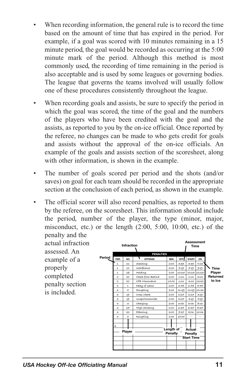- When recording information, the general rule is to record the time based on the amount of time that has expired in the period. For example, if a goal was scored with 10 minutes remaining in a 15 minute period, the goal would be recorded as occurring at the 5:00 minute mark of the period. Although this method is most commonly used, the recording of time remaining in the period is also acceptable and is used by some leagues or governing bodies. The league that governs the teams involved will usually follow one of these procedures consistently throughout the league.
- When recording goals and assists, be sure to specify the period in which the goal was scored, the time of the goal and the numbers of the players who have been credited with the goal and the assists, as reported to you by the on-ice official. Once reported by the referee, no changes can be made to who gets credit for goals and assists without the approval of the on-ice officials. An example of the goals and assists section of the scoresheet, along with other information, is shown in the example.
- The number of goals scored per period and the shots (and/or saves) on goal for each team should be recorded in the appropriate section at the conclusion of each period, as shown in the example.
- The official scorer will also record penalties, as reported to them by the referee, on the scoresheet. This information should include the period, number of the player, the type (minor, major, misconduct, etc.) or the length  $(2:00, 5:00, 10:00, \text{ etc.})$  of the penalty and the

actual infraction assessed. An example of a properly completed penalty section is included.

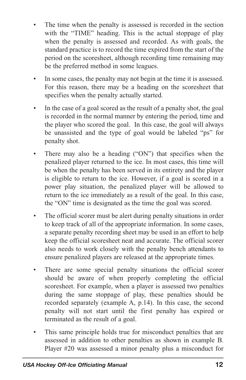- The time when the penalty is assessed is recorded in the section with the "TIME" heading. This is the actual stoppage of play when the penalty is assessed and recorded. As with goals, the standard practice is to record the time expired from the start of the period on the scoresheet, although recording time remaining may be the preferred method in some leagues.
- In some cases, the penalty may not begin at the time it is assessed. For this reason, there may be a heading on the scoresheet that specifies when the penalty actually started.
- In the case of a goal scored as the result of a penalty shot, the goal is recorded in the normal manner by entering the period, time and the player who scored the goal. In this case, the goal will always be unassisted and the type of goal would be labeled "ps" for penalty shot.
- There may also be a heading ("ON") that specifies when the penalized player returned to the ice. In most cases, this time will be when the penalty has been served in its entirety and the player is eligible to return to the ice. However, if a goal is scored in a power play situation, the penalized player will be allowed to return to the ice immediately as a result of the goal. In this case, the "ON" time is designated as the time the goal was scored.
- The official scorer must be alert during penalty situations in order to keep track of all of the appropriate information. In some cases, a separate penalty recording sheet may be used in an effort to help keep the official scoresheet neat and accurate. The official scorer also needs to work closely with the penalty bench attendants to ensure penalized players are released at the appropriate times.
- There are some special penalty situations the official scorer should be aware of when properly completing the official scoresheet. For example, when a player is assessed two penalties during the same stoppage of play, these penalties should be recorded separately (example A, p.14). In this case, the second penalty will not start until the first penalty has expired or terminated as the result of a goal.
- This same principle holds true for misconduct penalties that are assessed in addition to other penalties as shown in example B. Player #20 was assessed a minor penalty plus a misconduct for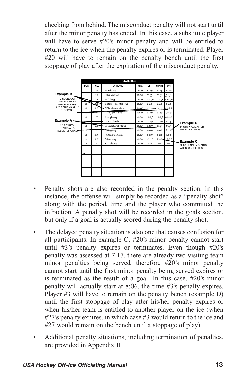checking from behind. The misconduct penalty will not start until after the minor penalty has ended. In this case, a substitute player will have to serve #20's minor penalty and will be entitled to return to the ice when the penalty expires or is terminated. Player #20 will have to remain on the penalty bench until the first stoppage of play after the expiration of the misconduct penalty.



- Penalty shots are also recorded in the penalty section. In this instance, the offense will simply be recorded as a "penalty shot" along with the period, time and the player who committed the infraction. A penalty shot will be recorded in the goals section, but only if a goal is actually scored during the penalty shot.
- The delayed penalty situation is also one that causes confusion for all participants. In example C, #20's minor penalty cannot start until #3's penalty expires or terminates. Even though #20's penalty was assessed at 7:17, there are already two visiting team minor penalties being served, therefore #20's minor penalty cannot start until the first minor penalty being served expires or is terminated as the result of a goal. In this case, #20's minor penalty will actually start at 8:06, the time #3's penalty expires. Player #3 will have to remain on the penalty bench (example D) until the first stoppage of play after his/her penalty expires or when his/her team is entitled to another player on the ice (when #27's penalty expires, in which case #3 would return to the ice and #27 would remain on the bench until a stoppage of play).
- Additional penalty situations, including termination of penalties, are provided in Appendix III.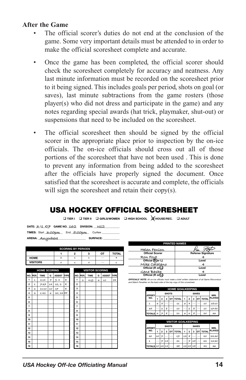#### **After the Game**

- The official scorer's duties do not end at the conclusion of the game. Some very important details must be attended to in order to make the official scoresheet complete and accurate.
- Once the game has been completed, the official scorer should check the scoresheet completely for accuracy and neatness. Any last minute information must be recorded on the scoresheet prior to it being signed. This includes goals per period, shots on goal (or saves), last minute subtractions from the game rosters (those player(s) who did not dress and participate in the game) and any notes regarding special awards (hat trick, playmaker, shut-out) or suspensions that need to be included on the scoresheet.
- The official scoresheet then should be signed by the official scorer in the appropriate place prior to inspection by the on-ice officials. The on-ice officials should cross out all of those portions of the scoresheet that have not been used . This is done to prevent any information from being added to the scoresheet after the officials have properly signed the document. Once satisfied that the scoresheet is accurate and complete, the officials will sign the scoresheet and retain their copy(s).



# **USA HOCKEY OFFICIAL SCORESHEET**

*USA Hockey Off-Ice Officiating Manual* **14**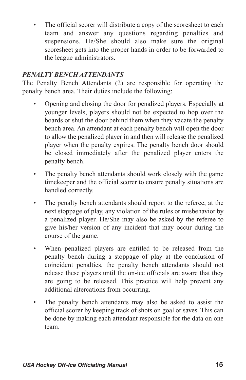• The official scorer will distribute a copy of the scoresheet to each team and answer any questions regarding penalties and suspensions. He/She should also make sure the original scoresheet gets into the proper hands in order to be forwarded to the league administrators.

## *PENALTY BENCH ATTENDANTS*

The Penalty Bench Attendants (2) are responsible for operating the penalty bench area. Their duties include the following:

- <span id="page-16-0"></span>• Opening and closing the door for penalized players. Especially at younger levels, players should not be expected to hop over the boards or shut the door behind them when they vacate the penalty bench area. An attendant at each penalty bench will open the door to allow the penalized player in and then will release the penalized player when the penalty expires. The penalty bench door should be closed immediately after the penalized player enters the penalty bench.
- The penalty bench attendants should work closely with the game timekeeper and the official scorer to ensure penalty situations are handled correctly.
- The penalty bench attendants should report to the referee, at the next stoppage of play, any violation of the rules or misbehavior by a penalized player. He/She may also be asked by the referee to give his/her version of any incident that may occur during the course of the game.
- When penalized players are entitled to be released from the penalty bench during a stoppage of play at the conclusion of coincident penalties, the penalty bench attendants should not release these players until the on-ice officials are aware that they are going to be released. This practice will help prevent any additional altercations from occurring.
- The penalty bench attendants may also be asked to assist the official scorer by keeping track of shots on goal or saves. This can be done by making each attendant responsible for the data on one team.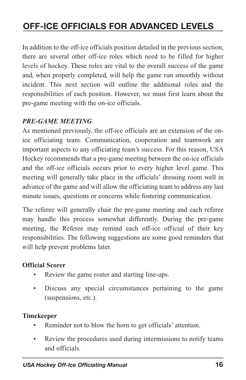# <span id="page-17-0"></span>**OFF-ICE OFFICIALS FOR ADVANCED LEVELS**

In addition to the off-ice officials position detailed in the previous section, there are several other off-ice roles which need to be filled for higher levels of hockey. These roles are vital to the overall success of the game and, when properly completed, will help the game run smoothly without incident. This next section will outline the additional roles and the responsibilities of each position. However, we must first learn about the pre-game meeting with the on-ice officials.

#### *PRE-GAME MEETING*

As mentioned previously, the off-ice officials are an extension of the onice officiating team. Communication, cooperation and teamwork are important aspects to any officiating team's success. For this reason, USA Hockey recommends that a pre-game meeting between the on-ice officials and the off-ice officials occurs prior to every higher level game. This meeting will generally take place in the officials' dressing room well in advance of the game and will allow the officiating team to address any last minute issues, questions or concerns while fostering communication.

The referee will generally chair the pre-game meeting and each referee may handle this process somewhat differently. During the pre-game meeting, the Referee may remind each off-ice official of their key responsibilities. The following suggestions are some good reminders that will help prevent problems later.

#### **Official Scorer**

- Review the game roster and starting line-ups.
- Discuss any special circumstances pertaining to the game (suspensions, etc.).

#### **Timekeeper**

- Reminder not to blow the horn to get officials' attention.
- Review the procedures used during intermissions to notify teams and officials.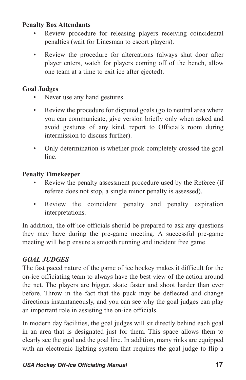### **Penalty Box Attendants**

- Review procedure for releasing players receiving coincidental penalties (wait for Linesman to escort players).
- Review the procedure for altercations (always shut door after player enters, watch for players coming off of the bench, allow one team at a time to exit ice after ejected).

#### **Goal Judges**

- Never use any hand gestures.
- Review the procedure for disputed goals (go to neutral area where you can communicate, give version briefly only when asked and avoid gestures of any kind, report to Official's room during intermission to discuss further).
- Only determination is whether puck completely crossed the goal line.

#### **Penalty Timekeeper**

- Review the penalty assessment procedure used by the Referee (if referee does not stop, a single minor penalty is assessed).
- <span id="page-18-0"></span>• Review the coincident penalty and penalty expiration interpretations.

In addition, the off-ice officials should be prepared to ask any questions they may have during the pre-game meeting. A successful pre-game meeting will help ensure a smooth running and incident free game.

## *GOAL JUDGES*

The fast paced nature of the game of ice hockey makes it difficult for the on-ice officiating team to always have the best view of the action around the net. The players are bigger, skate faster and shoot harder than ever before. Throw in the fact that the puck may be deflected and change directions instantaneously, and you can see why the goal judges can play an important role in assisting the on-ice officials.

In modern day facilities, the goal judges will sit directly behind each goal in an area that is designated just for them. This space allows them to clearly see the goal and the goal line. In addition, many rinks are equipped with an electronic lighting system that requires the goal judge to flip a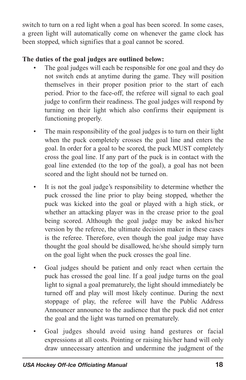switch to turn on a red light when a goal has been scored. In some cases, a green light will automatically come on whenever the game clock has been stopped, which signifies that a goal cannot be scored.

## **The duties of the goal judges are outlined below:**

- The goal judges will each be responsible for one goal and they do not switch ends at anytime during the game. They will position themselves in their proper position prior to the start of each period. Prior to the face-off, the referee will signal to each goal judge to confirm their readiness. The goal judges will respond by turning on their light which also confirms their equipment is functioning properly.
- The main responsibility of the goal judges is to turn on their light when the puck completely crosses the goal line and enters the goal. In order for a goal to be scored, the puck MUST completely cross the goal line. If any part of the puck is in contact with the goal line extended (to the top of the goal), a goal has not been scored and the light should not be turned on.
- It is not the goal judge's responsibility to determine whether the puck crossed the line prior to play being stopped, whether the puck was kicked into the goal or played with a high stick, or whether an attacking player was in the crease prior to the goal being scored. Although the goal judge may be asked his/her version by the referee, the ultimate decision maker in these cases is the referee. Therefore, even though the goal judge may have thought the goal should be disallowed, he/she should simply turn on the goal light when the puck crosses the goal line.
- Goal judges should be patient and only react when certain the puck has crossed the goal line. If a goal judge turns on the goal light to signal a goal prematurely, the light should immediately be turned off and play will most likely continue. During the next stoppage of play, the referee will have the Public Address Announcer announce to the audience that the puck did not enter the goal and the light was turned on prematurely.
- Goal judges should avoid using hand gestures or facial expressions at all costs. Pointing or raising his/her hand will only draw unnecessary attention and undermine the judgment of the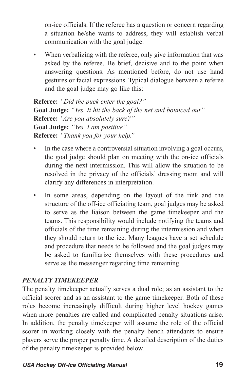on-ice officials. If the referee has a question or concern regarding a situation he/she wants to address, they will establish verbal communication with the goal judge.

• When verbalizing with the referee, only give information that was asked by the referee. Be brief, decisive and to the point when answering questions. As mentioned before, do not use hand gestures or facial expressions. Typical dialogue between a referee and the goal judge may go like this:

**Referee:** *"Did the puck enter the goal?"* **Goal Judge:** *"Yes. It hit the back of the net and bounced out."* **Referee:** *"Are you absolutely sure?"* **Goal Judge:** *"Yes. I am positive."* **Referee:** *"Thank you for your help."*

- In the case where a controversial situation involving a goal occurs, the goal judge should plan on meeting with the on-ice officials during the next intermission. This will allow the situation to be resolved in the privacy of the officials' dressing room and will clarify any differences in interpretation.
- <span id="page-20-0"></span>• In some areas, depending on the layout of the rink and the structure of the off-ice officiating team, goal judges may be asked to serve as the liaison between the game timekeeper and the teams. This responsibility would include notifying the teams and officials of the time remaining during the intermission and when they should return to the ice. Many leagues have a set schedule and procedure that needs to be followed and the goal judges may be asked to familiarize themselves with these procedures and serve as the messenger regarding time remaining.

# *PENALTY TIMEKEEPER*

The penalty timekeeper actually serves a dual role; as an assistant to the official scorer and as an assistant to the game timekeeper. Both of these roles become increasingly difficult during higher level hockey games when more penalties are called and complicated penalty situations arise. In addition, the penalty timekeeper will assume the role of the official scorer in working closely with the penalty bench attendants to ensure players serve the proper penalty time. A detailed description of the duties of the penalty timekeeper is provided below.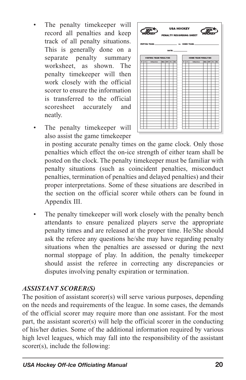The penalty timekeeper will record all penalties and keep track of all penalty situations. This is generally done on a separate penalty summary worksheet, as shown. The penalty timekeeper will then work closely with the official scorer to ensure the information is transferred to the official scoresheet accurately and neatly.



<span id="page-21-0"></span>

in posting accurate penalty times on the game clock. Only those penalties which effect the on-ice strength of either team shall be posted on the clock. The penalty timekeeper must be familiar with penalty situations (such as coincident penalties, misconduct penalties, termination of penalties and delayed penalties) and their proper interpretations. Some of these situations are described in the section on the official scorer while others can be found in Appendix III.

The penalty timekeeper will work closely with the penalty bench attendants to ensure penalized players serve the appropriate penalty times and are released at the proper time. He/She should ask the referee any questions he/she may have regarding penalty situations when the penalties are assessed or during the next normal stoppage of play. In addition, the penalty timekeeper should assist the referee in correcting any discrepancies or disputes involving penalty expiration or termination.

#### *ASSISTANT SCORER(S)*

The position of assistant scorer(s) will serve various purposes, depending on the needs and requirements of the league. In some cases, the demands of the official scorer may require more than one assistant. For the most part, the assistant scorer(s) will help the official scorer in the conducting of his/her duties. Some of the additional information required by various high level leagues, which may fall into the responsibility of the assistant scorer(s), include the following: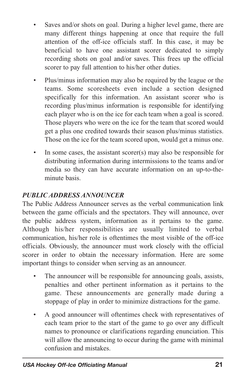- Saves and/or shots on goal. During a higher level game, there are many different things happening at once that require the full attention of the off-ice officials staff. In this case, it may be beneficial to have one assistant scorer dedicated to simply recording shots on goal and/or saves. This frees up the official scorer to pay full attention to his/her other duties.
- Plus/minus information may also be required by the league or the teams. Some scoresheets even include a section designed specifically for this information. An assistant scorer who is recording plus/minus information is responsible for identifying each player who is on the ice for each team when a goal is scored. Those players who were on the ice for the team that scored would get a plus one credited towards their season plus/minus statistics. Those on the ice for the team scored upon, would get a minus one.
- <span id="page-22-0"></span>• In some cases, the assistant scorer(s) may also be responsible for distributing information during intermissions to the teams and/or media so they can have accurate information on an up-to-theminute basis.

## *PUBLIC ADDRESS ANNOUNCER*

The Public Address Announcer serves as the verbal communication link between the game officials and the spectators. They will announce, over the public address system, information as it pertains to the game. Although his/her responsibilities are usually limited to verbal communication, his/her role is oftentimes the most visible of the off-ice officials. Obviously, the announcer must work closely with the official scorer in order to obtain the necessary information. Here are some important things to consider when serving as an announcer.

- The announcer will be responsible for announcing goals, assists, penalties and other pertinent information as it pertains to the game. These announcements are generally made during a stoppage of play in order to minimize distractions for the game.
- A good announcer will oftentimes check with representatives of each team prior to the start of the game to go over any difficult names to pronounce or clarifications regarding enunciation. This will allow the announcing to occur during the game with minimal confusion and mistakes.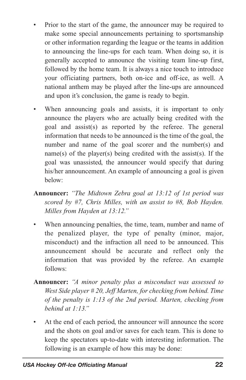- Prior to the start of the game, the announcer may be required to make some special announcements pertaining to sportsmanship or other information regarding the league or the teams in addition to announcing the line-ups for each team. When doing so, it is generally accepted to announce the visiting team line-up first, followed by the home team. It is always a nice touch to introduce your officiating partners, both on-ice and off-ice, as well. A national anthem may be played after the line-ups are announced and upon it's conclusion, the game is ready to begin.
- When announcing goals and assists, it is important to only announce the players who are actually being credited with the goal and assist(s) as reported by the referee. The general information that needs to be announced is the time of the goal, the number and name of the goal scorer and the number(s) and  $name(s)$  of the player(s) being credited with the assist(s). If the goal was unassisted, the announcer would specify that during his/her announcement. An example of announcing a goal is given below:
- **Announcer:** *"The Midtown Zebra goal at 13:12 of 1st period was scored by #7, Chris Milles, with an assist to #8, Bob Hayden. Milles from Hayden at 13:12."*
- When announcing penalties, the time, team, number and name of the penalized player, the type of penalty (minor, major, misconduct) and the infraction all need to be announced. This announcement should be accurate and reflect only the information that was provided by the referee. An example follows:
- **Announcer:** *"A minor penalty plus a misconduct was assessed to West Side player # 20, Jeff Marten, for checking from behind. Time of the penalty is 1:13 of the 2nd period. Marten, checking from behind at 1:13."*
- At the end of each period, the announcer will announce the score and the shots on goal and/or saves for each team. This is done to keep the spectators up-to-date with interesting information. The following is an example of how this may be done: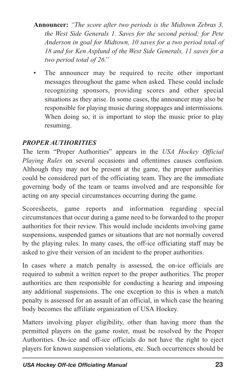- **Announcer:** *"The score after two periods is the Midtown Zebras 3, the West Side Generals 1. Saves for the second period; for Pete Anderson in goal for Midtown, 10 saves for a two period total of 18 and for Ken Asplund of the West Side Generals, 11 saves for a two period total of 26."*
- <span id="page-24-0"></span>The announcer may be required to recite other important messages throughout the game when asked. These could include recognizing sponsors, providing scores and other special situations as they arise. In some cases, the announcer may also be responsible for playing music during stoppages and intermissions. When doing so, it is important to stop the music prior to play resuming.

# *PROPER AUTHORITIES*

The term "Proper Authorities" appears in the *USA Hockey Official Playing Rules* on several occasions and oftentimes causes confusion. Although they may not be present at the game, the proper authorities could be considered part of the officiating team. They are the immediate governing body of the team or teams involved and are responsible for acting on any special circumstances occurring during the game.

Scoresheets, game reports and information regarding special circumstances that occur during a game need to be forwarded to the proper authorities for their review. This would include incidents involving game suspensions, suspended games or situations that are not normally covered by the playing rules. In many cases, the off-ice officiating staff may be asked to give their version of an incident to the proper authorities.

In cases where a match penalty is assessed, the on-ice officials are required to submit a written report to the proper authorities. The proper authorities are then responsible for conducting a hearing and imposing any additional suspensions. The one exception to this is when a match penalty is assessed for an assault of an official, in which case the hearing body becomes the affiliate organization of USA Hockey.

Matters involving player eligibility, other than having more than the permitted players on the game roster, must be resolved by the Proper Authorities. On-ice and off-ice officials do not have the right to eject players for known suspension violations, etc. Such occurrences should be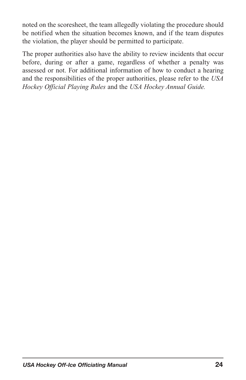noted on the scoresheet, the team allegedly violating the procedure should be notified when the situation becomes known, and if the team disputes the violation, the player should be permitted to participate.

The proper authorities also have the ability to review incidents that occur before, during or after a game, regardless of whether a penalty was assessed or not. For additional information of how to conduct a hearing and the responsibilities of the proper authorities, please refer to the *USA Hockey Official Playing Rules* and the *USA Hockey Annual Guide.*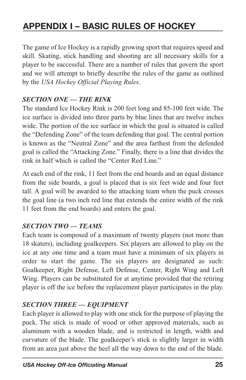# <span id="page-26-0"></span>**APPENDIX I – BASIC RULES OF HOCKEY**

The game of Ice Hockey is a rapidly growing sport that requires speed and skill. Skating, stick handling and shooting are all necessary skills for a player to be successful. There are a number of rules that govern the sport and we will attempt to briefly describe the rules of the game as outlined by the *USA Hockey Official Playing Rules*.

## *SECTION ONE — THE RINK*

The standard Ice Hockey Rink is 200 feet long and 85-100 feet wide. The ice surface is divided into three parts by blue lines that are twelve inches wide. The portion of the ice surface in which the goal is situated is called the "Defending Zone" of the team defending that goal. The central portion is known as the "Neutral Zone" and the area farthest from the defended goal is called the "Attacking Zone." Finally, there is a line that divides the rink in half which is called the "Center Red Line."

At each end of the rink, 11 feet from the end boards and an equal distance from the side boards, a goal is placed that is six feet wide and four feet tall. A goal will be awarded to the attacking team when the puck crosses the goal line (a two inch red line that extends the entire width of the rink 11 feet from the end boards) and enters the goal.

## *SECTION TWO — TEAMS*

Each team is composed of a maximum of twenty players (not more than 18 skaters), including goalkeepers. Six players are allowed to play on the ice at any one time and a team must have a minimum of six players in order to start the game. The six players are designated as such: Goalkeeper, Right Defense, Left Defense, Center, Right Wing and Left Wing. Players can be substituted for at anytime provided that the retiring player is off the ice before the replacement player participates in the play.

## *SECTION THREE — EQUIPMENT*

Each player is allowed to play with one stick for the purpose of playing the puck. The stick is made of wood or other approved materials, such as aluminum with a wooden blade, and is restricted in length, width and curvature of the blade. The goalkeeper's stick is slightly larger in width from an area just above the heel all the way down to the end of the blade.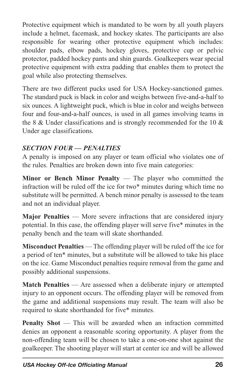Protective equipment which is mandated to be worn by all youth players include a helmet, facemask, and hockey skates. The participants are also responsible for wearing other protective equipment which includes: shoulder pads, elbow pads, hockey gloves, protective cup or pelvic protector, padded hockey pants and shin guards. Goalkeepers wear special protective equipment with extra padding that enables them to protect the goal while also protecting themselves.

There are two different pucks used for USA Hockey-sanctioned games. The standard puck is black in color and weighs between five-and-a-half to six ounces. A lightweight puck, which is blue in color and weighs between four and four-and-a-half ounces, is used in all games involving teams in the 8  $\&$  Under classifications and is strongly recommended for the 10  $\&$ Under age classifications.

# *SECTION FOUR — PENALTIES*

A penalty is imposed on any player or team official who violates one of the rules. Penalties are broken down into five main categories:

**Minor or Bench Minor Penalty** — The player who committed the infraction will be ruled off the ice for two\* minutes during which time no substitute will be permitted. A bench minor penalty is assessed to the team and not an individual player.

**Major Penalties** — More severe infractions that are considered injury potential. In this case, the offending player will serve five\* minutes in the penalty bench and the team will skate shorthanded.

**Misconduct Penalties** — The offending player will be ruled off the ice for a period of ten\* minutes, but a substitute will be allowed to take his place on the ice. Game Misconduct penalties require removal from the game and possibly additional suspensions.

**Match Penalties** — Are assessed when a deliberate injury or attempted injury to an opponent occurs. The offending player will be removed from the game and additional suspensions may result. The team will also be required to skate shorthanded for five\* minutes.

**Penalty Shot** — This will be awarded when an infraction committed denies an opponent a reasonable scoring opportunity. A player from the non-offending team will be chosen to take a one-on-one shot against the goalkeeper. The shooting player will start at center ice and will be allowed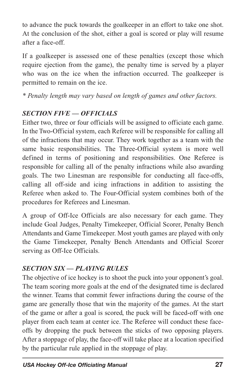to advance the puck towards the goalkeeper in an effort to take one shot. At the conclusion of the shot, either a goal is scored or play will resume after a face-off.

If a goalkeeper is assessed one of these penalties (except those which require ejection from the game), the penalty time is served by a player who was on the ice when the infraction occurred. The goalkeeper is permitted to remain on the ice.

*\* Penalty length may vary based on length of games and other factors.*

# *SECTION FIVE — OFFICIALS*

Either two, three or four officials will be assigned to officiate each game. In the Two-Official system, each Referee will be responsible for calling all of the infractions that may occur. They work together as a team with the same basic responsibilities. The Three-Official system is more well defined in terms of positioning and responsibilities. One Referee is responsible for calling all of the penalty infractions while also awarding goals. The two Linesman are responsible for conducting all face-offs, calling all off-side and icing infractions in addition to assisting the Referee when asked to. The Four-Official system combines both of the procedures for Referees and Linesman.

A group of Off-Ice Officials are also necessary for each game. They include Goal Judges, Penalty Timekeeper, Official Scorer, Penalty Bench Attendants and Game Timekeeper. Most youth games are played with only the Game Timekeeper, Penalty Bench Attendants and Official Scorer serving as Off-Ice Officials.

# *SECTION SIX — PLAYING RULES*

The objective of ice hockey is to shoot the puck into your opponent's goal. The team scoring more goals at the end of the designated time is declared the winner. Teams that commit fewer infractions during the course of the game are generally those that win the majority of the games. At the start of the game or after a goal is scored, the puck will be faced-off with one player from each team at center ice. The Referee will conduct these faceoffs by dropping the puck between the sticks of two opposing players. After a stoppage of play, the face-off will take place at a location specified by the particular rule applied in the stoppage of play.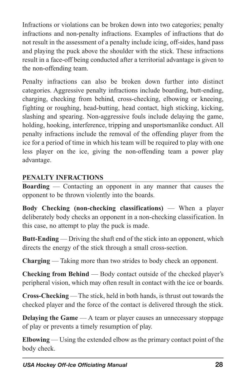Infractions or violations can be broken down into two categories; penalty infractions and non-penalty infractions. Examples of infractions that do not result in the assessment of a penalty include icing, off-sides, hand pass and playing the puck above the shoulder with the stick. These infractions result in a face-off being conducted after a territorial advantage is given to the non-offending team.

Penalty infractions can also be broken down further into distinct categories. Aggressive penalty infractions include boarding, butt-ending, charging, checking from behind, cross-checking, elbowing or kneeing, fighting or roughing, head-butting, head contact, high sticking, kicking, slashing and spearing. Non-aggressive fouls include delaying the game, holding, hooking, interference, tripping and unsportsmanlike conduct. All penalty infractions include the removal of the offending player from the ice for a period of time in which his team will be required to play with one less player on the ice, giving the non-offending team a power play advantage.

## **PENALTY INFRACTIONS**

**Boarding** — Contacting an opponent in any manner that causes the opponent to be thrown violently into the boards.

**Body Checking (non-checking classifications)** — When a player deliberately body checks an opponent in a non-checking classification. In this case, no attempt to play the puck is made.

**Butt-Ending** — Driving the shaft end of the stick into an opponent, which directs the energy of the stick through a small cross-section.

**Charging** — Taking more than two strides to body check an opponent.

**Checking from Behind** — Body contact outside of the checked player's peripheral vision, which may often result in contact with the ice or boards.

**Cross-Checking** — The stick, held in both hands, is thrust out towards the checked player and the force of the contact is delivered through the stick.

**Delaying the Game** — A team or player causes an unnecessary stoppage of play or prevents a timely resumption of play.

**Elbowing** — Using the extended elbow as the primary contact point of the body check.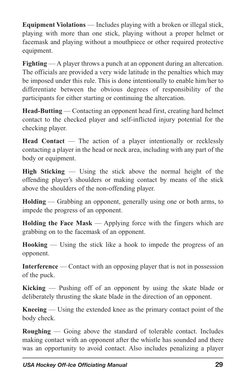**Equipment Violations** — Includes playing with a broken or illegal stick, playing with more than one stick, playing without a proper helmet or facemask and playing without a mouthpiece or other required protective equipment.

**Fighting** — A player throws a punch at an opponent during an altercation. The officials are provided a very wide latitude in the penalties which may be imposed under this rule. This is done intentionally to enable him/her to differentiate between the obvious degrees of responsibility of the participants for either starting or continuing the altercation.

**Head-Butting** — Contacting an opponent head first, creating hard helmet contact to the checked player and self-inflicted injury potential for the checking player.

**Head Contact** — The action of a player intentionally or recklessly contacting a player in the head or neck area, including with any part of the body or equipment.

**High Sticking** — Using the stick above the normal height of the offending player's shoulders or making contact by means of the stick above the shoulders of the non-offending player.

**Holding** — Grabbing an opponent, generally using one or both arms, to impede the progress of an opponent.

**Holding the Face Mask** — Applying force with the fingers which are grabbing on to the facemask of an opponent.

**Hooking** — Using the stick like a hook to impede the progress of an opponent.

**Interference** — Contact with an opposing player that is not in possession of the puck.

**Kicking** — Pushing off of an opponent by using the skate blade or deliberately thrusting the skate blade in the direction of an opponent.

**Kneeing** — Using the extended knee as the primary contact point of the body check.

**Roughing** — Going above the standard of tolerable contact. Includes making contact with an opponent after the whistle has sounded and there was an opportunity to avoid contact. Also includes penalizing a player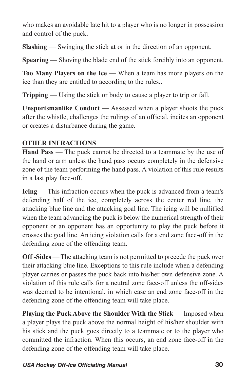who makes an avoidable late hit to a player who is no longer in possession and control of the puck.

**Slashing** — Swinging the stick at or in the direction of an opponent.

**Spearing** — Shoving the blade end of the stick forcibly into an opponent.

**Too Many Players on the Ice** — When a team has more players on the ice than they are entitled to according to the rules..

**Tripping** — Using the stick or body to cause a player to trip or fall.

**Unsportsmanlike Conduct** — Assessed when a player shoots the puck after the whistle, challenges the rulings of an official, incites an opponent or creates a disturbance during the game.

# **OTHER INFRACTIONS**

**Hand Pass** — The puck cannot be directed to a teammate by the use of the hand or arm unless the hand pass occurs completely in the defensive zone of the team performing the hand pass. A violation of this rule results in a last play face-off.

**Icing** — This infraction occurs when the puck is advanced from a team's defending half of the ice, completely across the center red line, the attacking blue line and the attacking goal line. The icing will be nullified when the team advancing the puck is below the numerical strength of their opponent or an opponent has an opportunity to play the puck before it crosses the goal line. An icing violation calls for a end zone face-off in the defending zone of the offending team.

**Off -Sides** — The attacking team is not permitted to precede the puck over their attacking blue line. Exceptions to this rule include when a defending player carries or passes the puck back into his/her own defensive zone. A violation of this rule calls for a neutral zone face-off unless the off-sides was deemed to be intentional, in which case an end zone face-off in the defending zone of the offending team will take place.

**Playing the Puck Above the Shoulder With the Stick** — Imposed when a player plays the puck above the normal height of his/her shoulder with his stick and the puck goes directly to a teammate or to the player who committed the infraction. When this occurs, an end zone face-off in the defending zone of the offending team will take place.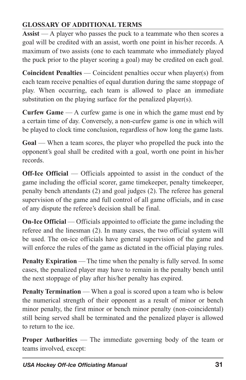# **GLOSSARY OF ADDITIONAL TERMS**

**Assist** — A player who passes the puck to a teammate who then scores a goal will be credited with an assist, worth one point in his/her records. A maximum of two assists (one to each teammate who immediately played the puck prior to the player scoring a goal) may be credited on each goal.

**Coincident Penalties** — Coincident penalties occur when player(s) from each team receive penalties of equal duration during the same stoppage of play. When occurring, each team is allowed to place an immediate substitution on the playing surface for the penalized player(s).

**Curfew Game** — A curfew game is one in which the game must end by a certain time of day. Conversely, a non-curfew game is one in which will be played to clock time conclusion, regardless of how long the game lasts.

**Goal** — When a team scores, the player who propelled the puck into the opponent's goal shall be credited with a goal, worth one point in his/her records.

**Off-Ice Official** — Officials appointed to assist in the conduct of the game including the official scorer, game timekeeper, penalty timekeeper, penalty bench attendants (2) and goal judges (2). The referee has general supervision of the game and full control of all game officials, and in case of any dispute the referee's decision shall be final.

**On-Ice Official** — Officials appointed to officiate the game including the referee and the linesman (2). In many cases, the two official system will be used. The on-ice officials have general supervision of the game and will enforce the rules of the game as dictated in the official playing rules.

**Penalty Expiration** — The time when the penalty is fully served. In some cases, the penalized player may have to remain in the penalty bench until the next stoppage of play after his/her penalty has expired.

**Penalty Termination** — When a goal is scored upon a team who is below the numerical strength of their opponent as a result of minor or bench minor penalty, the first minor or bench minor penalty (non-coincidental) still being served shall be terminated and the penalized player is allowed to return to the ice.

**Proper Authorities** — The immediate governing body of the team or teams involved, except: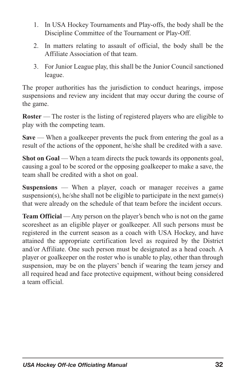- 1. In USA Hockey Tournaments and Play-offs, the body shall be the Discipline Committee of the Tournament or Play-Off.
- 2. In matters relating to assault of official, the body shall be the Affiliate Association of that team.
- 3. For Junior League play, this shall be the Junior Council sanctioned league.

The proper authorities has the jurisdiction to conduct hearings, impose suspensions and review any incident that may occur during the course of the game.

**Roster** — The roster is the listing of registered players who are eligible to play with the competing team.

**Save** — When a goalkeeper prevents the puck from entering the goal as a result of the actions of the opponent, he/she shall be credited with a save.

**Shot on Goal** — When a team directs the puck towards its opponents goal, causing a goal to be scored or the opposing goalkeeper to make a save, the team shall be credited with a shot on goal.

**Suspensions** — When a player, coach or manager receives a game suspension(s), he/she shall not be eligible to participate in the next game(s) that were already on the schedule of that team before the incident occurs.

**Team Official** — Any person on the player's bench who is not on the game scoresheet as an eligible player or goalkeeper. All such persons must be registered in the current season as a coach with USA Hockey, and have attained the appropriate certification level as required by the District and/or Affiliate. One such person must be designated as a head coach. A player or goalkeeper on the roster who is unable to play, other than through suspension, may be on the players' bench if wearing the team jersey and all required head and face protective equipment, without being considered a team official.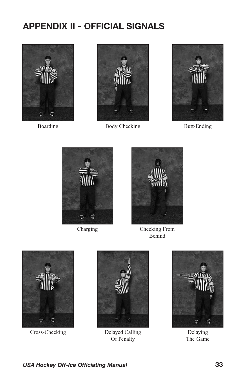# **APPENDIX II - OFFICIAL SIGNALS**





Boarding Body Checking Butt-Ending

<span id="page-34-0"></span>





Charging Checking From Behind



Cross-Checking Delayed Calling



Of Penalty



Delaying The Game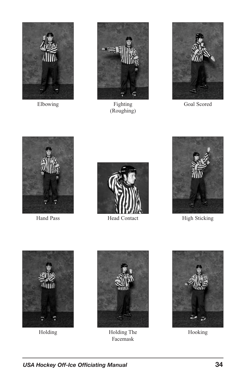



Elbowing Fighting Goal Scored (Roughing)









Hand Pass Head Contact High Sticking





Holding Holding The Facemask



Hooking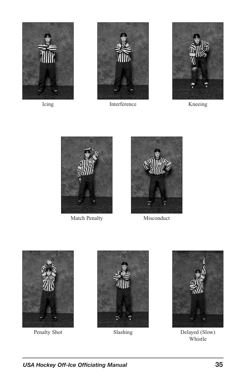



Icing Interference Kneeing





Match Penalty Misconduct









Penalty Shot Slashing Delayed (Slow) Whistle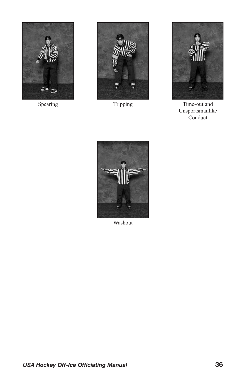



Tripping



Spearing Time-out and Time-out and Unsportsmanlike **Conduct** 



Washout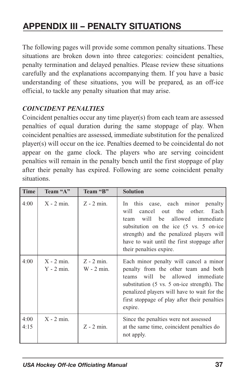# <span id="page-38-0"></span>**APPENDIX III – PENALTY SITUATIONS**

The following pages will provide some common penalty situations. These situations are broken down into three categories: coincident penalties, penalty termination and delayed penalties. Please review these situations carefully and the explanations accompanying them. If you have a basic understanding of these situations, you will be prepared, as an off-ice official, to tackle any penalty situation that may arise.

#### *COINCIDENT PENALTIES*

Coincident penalties occur any time player(s) from each team are assessed penalties of equal duration during the same stoppage of play. When coincident penalties are assessed, immediate substitution for the penalized player(s) will occur on the ice. Penalties deemed to be coincidental do not appear on the game clock. The players who are serving coincident penalties will remain in the penalty bench until the first stoppage of play after their penalty has expired. Following are some coincident penalty situations.

| <b>Time</b>  | Team "A"                     | Team "B"                     | <b>Solution</b>                                                                                                                                                                                                                                                               |
|--------------|------------------------------|------------------------------|-------------------------------------------------------------------------------------------------------------------------------------------------------------------------------------------------------------------------------------------------------------------------------|
| 4:00         | $X - 2$ min.                 | $Z - 2$ min.                 | In this case, each minor penalty<br>cancel out the other. Each<br>will<br>will be allowed immediate<br>team<br>subsitution on the ice (5 vs. 5 on-ice)<br>strength) and the penalized players will<br>have to wait until the first stoppage after<br>their penalties expire.  |
| 4:00         | $X - 2$ min.<br>$Y - 2$ min. | $Z - 2$ min.<br>$W - 2$ min. | Each minor penalty will cancel a minor<br>penalty from the other team and both<br>will be allowed immediate<br>teams<br>substitution (5 vs. 5 on-ice strength). The<br>penalized players will have to wait for the<br>first stoppage of play after their penalties<br>expire. |
| 4:00<br>4:15 | $X - 2$ min.                 | $Z - 2$ min.                 | Since the penalties were not assessed<br>at the same time, coincident penalties do<br>not apply.                                                                                                                                                                              |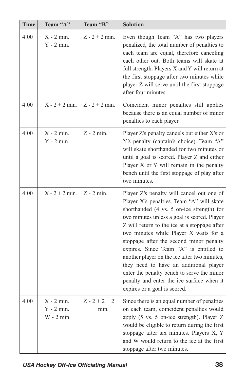| <b>Time</b> | Team "A"                                   | Team "B"                | <b>Solution</b>                                                                                                                                                                                                                                                                                                                                                                                                                                                                                                                                                                        |
|-------------|--------------------------------------------|-------------------------|----------------------------------------------------------------------------------------------------------------------------------------------------------------------------------------------------------------------------------------------------------------------------------------------------------------------------------------------------------------------------------------------------------------------------------------------------------------------------------------------------------------------------------------------------------------------------------------|
| 4:00        | $X - 2$ min.<br>$Y - 2$ min.               | $Z - 2 + 2$ min.        | Even though Team "A" has two players<br>penalized, the total number of penalties to<br>each team are equal, therefore canceling<br>each other out. Both teams will skate at<br>full strength. Players X and Y will return at<br>the first stoppage after two minutes while<br>player Z will serve until the first stoppage<br>after four minutes.                                                                                                                                                                                                                                      |
| 4:00        | $X - 2 + 2$ min.                           | $Z - 2 + 2$ min.        | Coincident minor penalties still applies<br>because there is an equal number of minor<br>penalties to each player.                                                                                                                                                                                                                                                                                                                                                                                                                                                                     |
| 4:00        | $X - 2$ min.<br>$Y - 2$ min.               | $Z - 2$ min.            | Player Z's penalty cancels out either X's or<br>Y's penalty (captain's choice). Team "A"<br>will skate shorthanded for two minutes or<br>until a goal is scored. Player Z and either<br>Player X or Y will remain in the penalty<br>bench until the first stoppage of play after<br>two minutes.                                                                                                                                                                                                                                                                                       |
| 4:00        | $X - 2 + 2$ min.                           | $Z - 2$ min.            | Player Z's penalty will cancel out one of<br>Player X's penalties. Team "A" will skate<br>shorthanded (4 vs. 5 on-ice strength) for<br>two minutes unless a goal is scored. Player<br>Z will return to the ice at a stoppage after<br>two minutes while Player X waits for a<br>stoppage after the second minor penalty<br>expires. Since Team "A" is entitled to<br>another player on the ice after two minutes,<br>they need to have an additional player<br>enter the penalty bench to serve the minor<br>penalty and enter the ice surface when it<br>expires or a goal is scored. |
| 4:00        | $X - 2$ min.<br>$Y - 2$ min.<br>W - 2 min. | $Z - 2 + 2 + 2$<br>min. | Since there is an equal number of penalties<br>on each team, coincident penalties would<br>apply (5 vs. 5 on-ice strength). Player Z<br>would be eligible to return during the first<br>stoppage after six minutes. Players X, Y<br>and W would return to the ice at the first<br>stoppage after two minutes.                                                                                                                                                                                                                                                                          |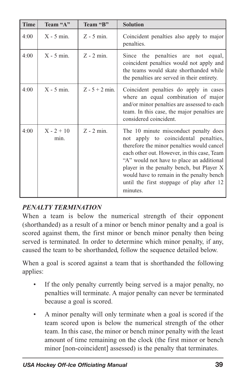| <b>Time</b> | Team "A"             | Team "B"         | <b>Solution</b>                                                                                                                                                                                                                                                                                                                                                            |
|-------------|----------------------|------------------|----------------------------------------------------------------------------------------------------------------------------------------------------------------------------------------------------------------------------------------------------------------------------------------------------------------------------------------------------------------------------|
| 4:00        | $X - 5$ min.         | $Z - 5$ min.     | Coincident penalties also apply to major<br>penalties.                                                                                                                                                                                                                                                                                                                     |
| 4:00        | $X - 5$ min.         | $Z - 2$ min.     | Since the penalties are not equal,<br>coincident penalties would not apply and<br>the teams would skate shorthanded while<br>the penalties are served in their entirety.                                                                                                                                                                                                   |
| 4:00        | $X - 5$ min.         | $Z - 5 + 2$ min. | Coincident penalties do apply in cases<br>where an equal combination of major<br>and/or minor penalties are assessed to each<br>team. In this case, the major penalties are<br>considered coincident.                                                                                                                                                                      |
| 4:00        | $X - 2 + 10$<br>min. | $Z - 2$ min.     | The 10 minute misconduct penalty does<br>not apply to coincidental penalties,<br>therefore the minor penalties would cancel<br>each other out. However, in this case, Team<br>"A" would not have to place an additional<br>player in the penalty bench, but Player X<br>would have to remain in the penalty bench<br>until the first stoppage of play after 12<br>minutes. |

# *PENALTY TERMINATION*

When a team is below the numerical strength of their opponent (shorthanded) as a result of a minor or bench minor penalty and a goal is scored against them, the first minor or bench minor penalty then being served is terminated. In order to determine which minor penalty, if any, caused the team to be shorthanded, follow the sequence detailed below.

When a goal is scored against a team that is shorthanded the following applies:

- If the only penalty currently being served is a major penalty, no penalties will terminate. A major penalty can never be terminated because a goal is scored.
- A minor penalty will only terminate when a goal is scored if the team scored upon is below the numerical strength of the other team. In this case, the minor or bench minor penalty with the least amount of time remaining on the clock (the first minor or bench minor [non-coincident] assessed) is the penalty that terminates.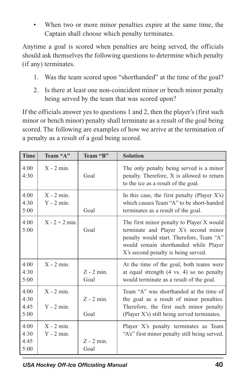• When two or more minor penalties expire at the same time, the Captain shall choose which penalty terminates.

Anytime a goal is scored when penalties are being served, the officials should ask themselves the following questions to determine which penalty (if any) terminates.

- 1. Was the team scored upon "shorthanded" at the time of the goal?
- 2. Is there at least one non-coincident minor or bench minor penalty being served by the team that was scored upon?

If the officials answer yes to questions 1 and 2, then the player's (first such minor or bench minor) penalty shall terminate as a result of the goal being scored. The following are examples of how we arrive at the termination of a penalty as a result of a goal being scored.

| <b>Time</b>                  | Team "A"                     | Team "B"             | <b>Solution</b>                                                                                                                                                                                                |
|------------------------------|------------------------------|----------------------|----------------------------------------------------------------------------------------------------------------------------------------------------------------------------------------------------------------|
| 4:00<br>4:30                 | $X - 2$ min.                 | Goal                 | The only penalty being served is a minor<br>penalty. Therefore, X is allowed to return<br>to the ice as a result of the goal.                                                                                  |
| 4:00<br>4:30<br>5:00         | $X - 2$ min.<br>$Y - 2$ min. | Goal                 | In this case, the first penalty (Player $X$ 's)<br>which causes Team "A" to be short-handed<br>terminates as a result of the goal.                                                                             |
| 4:00<br>5:00                 | $X - 2 + 2$ min.             | Goal                 | The first minor penalty to Player X would<br>terminate and Player X's second minor<br>penalty would start. Therefore, Team "A"<br>would remain shorthanded while Player<br>X's second penalty is being served. |
| 4:00<br>4:30<br>5:00         | $X - 2$ min.                 | $Z - 2$ min.<br>Goal | At the time of the goal, both teams were<br>at equal strength (4 vs. 4) so no penalty<br>would terminate as a result of the goal.                                                                              |
| 4:00<br>4:30<br>4:45<br>5:00 | $X - 2$ min.<br>$Y - 2$ min. | $Z - 2$ min.<br>Goal | Team "A" was shorthanded at the time of<br>the goal as a result of minor penalties.<br>Therefore, the first such minor penalty<br>(Player X's) still being served terminates.                                  |
| 4:00<br>4:30<br>4:45<br>5:00 | $X - 2$ min.<br>$Y - 2$ min. | $Z - 2$ min.<br>Goal | Player X's penalty terminates as Team<br>"A's" first minor penalty still being served.                                                                                                                         |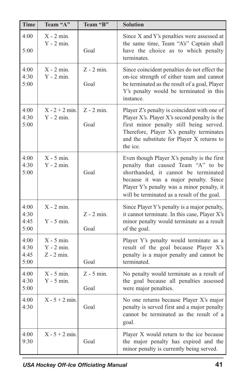| <b>Time</b>                  | Team "A"                                     | Team "B"             | <b>Solution</b>                                                                                                                                                                                                                                                 |
|------------------------------|----------------------------------------------|----------------------|-----------------------------------------------------------------------------------------------------------------------------------------------------------------------------------------------------------------------------------------------------------------|
| 4:00<br>5:00                 | $X - 2$ min.<br>$Y - 2$ min.                 | Goal                 | Since X and Y's penalties were assessed at<br>the same time, Team "A's" Captain shall<br>have the choice as to which penalty<br>terminates.                                                                                                                     |
| 4:00<br>4:30<br>5:00         | $X - 2$ min.<br>$Y - 2$ min.                 | $Z - 2$ min.<br>Goal | Since coincident penalties do not effect the<br>on-ice strength of either team and cannot<br>be terminated as the result of a goal, Player<br>Y's penalty would be terminated in this<br>instance.                                                              |
| 4:00<br>4:30<br>5:00         | $X - 2 + 2$ min.<br>$Y - 2$ min.             | $Z - 2$ min.<br>Goal | Player Z's penalty is coincident with one of<br>Player X's. Player X's second penalty is the<br>first minor penalty still being served.<br>Therefore, Player X's penalty terminates<br>and the substitute for Player X returns to<br>the ice.                   |
| 4:00<br>4:30<br>5:00         | $X - 5$ min.<br>$Y - 2$ min.                 | Goal                 | Even though Player X's penalty is the first<br>penalty that caused Team "A" to be<br>shorthanded, it cannot be terminated<br>because it was a major penalty. Since<br>Player Y's penalty was a minor penalty, it<br>will be terminated as a result of the goal. |
| 4:00<br>4:30<br>4:45<br>5:00 | $X - 2$ min.<br>$Y - 5$ min.                 | $Z - 2$ min.<br>Goal | Since Player Y's penalty is a major penalty,<br>it cannot terminate. In this case, Player X's<br>minor penalty would terminate as a result<br>of the goal.                                                                                                      |
| 4:00<br>4:30<br>4:45<br>5:00 | $X - 5$ min.<br>$Y - 2$ min.<br>$Z - 2$ min. | Goal                 | Player Y's penalty would terminate as a<br>result of the goal because Player X's<br>penalty is a major penalty and cannot be<br>terminated.                                                                                                                     |
| 4:00<br>4:30<br>5:00         | $X - 5$ min.<br>$Y - 5$ min.                 | $Z - 5$ min.<br>Goal | No penalty would terminate as a result of<br>the goal because all penalties assessed<br>were major penalties.                                                                                                                                                   |
| 4:00<br>4:30                 | $X - 5 + 2$ min.                             | Goal                 | No one returns because Player X's major<br>penalty is served first and a major penalty<br>cannot be terminated as the result of a<br>goal.                                                                                                                      |
| 4:00<br>9:30                 | $X - 5 + 2$ min.                             | Goal                 | Player X would return to the ice because<br>the major penalty has expired and the<br>minor penalty is currently being served.                                                                                                                                   |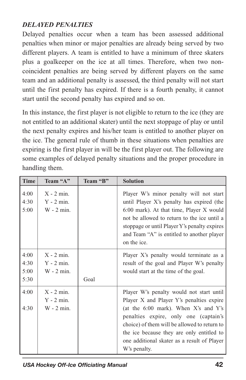# *DELAYED PENALTIES*

Delayed penalties occur when a team has been assessed additional penalties when minor or major penalties are already being served by two different players. A team is entitled to have a minimum of three skaters plus a goalkeeper on the ice at all times. Therefore, when two noncoincident penalties are being served by different players on the same team and an additional penalty is assessed, the third penalty will not start until the first penalty has expired. If there is a fourth penalty, it cannot start until the second penalty has expired and so on.

In this instance, the first player is not eligible to return to the ice (they are not entitled to an additional skater) until the next stoppage of play or until the next penalty expires and his/her team is entitled to another player on the ice. The general rule of thumb in these situations when penalties are expiring is the first player in will be the first player out. The following are some examples of delayed penalty situations and the proper procedure in handling them.

| <b>Time</b>                  | Team "A"                                     | Team "B" | <b>Solution</b>                                                                                                                                                                                                                                                                                                                   |
|------------------------------|----------------------------------------------|----------|-----------------------------------------------------------------------------------------------------------------------------------------------------------------------------------------------------------------------------------------------------------------------------------------------------------------------------------|
| 4:00<br>4:30<br>5:00         | $X - 2$ min.<br>$Y - 2$ min.<br>$W - 2$ min. |          | Player W's minor penalty will not start<br>until Player X's penalty has expired (the<br>6:00 mark). At that time, Player X would<br>not be allowed to return to the ice until a<br>stoppage or until Player Y's penalty expires<br>and Team "A" is entitled to another player<br>on the ice.                                      |
| 4:00<br>4:30<br>5:00<br>5:30 | $X - 2$ min.<br>$Y - 2$ min.<br>$W - 2$ min. | Goal     | Player X's penalty would terminate as a<br>result of the goal and Player W's penalty<br>would start at the time of the goal.                                                                                                                                                                                                      |
| 4:00<br>4:30                 | $X - 2$ min.<br>$Y - 2$ min.<br>$W - 2$ min. |          | Player W's penalty would not start until<br>Player X and Player Y's penalties expire<br>(at the 6:00 mark). When X's and Y's<br>penalties expire, only one (captain's<br>choice) of them will be allowed to return to<br>the ice because they are only entitled to<br>one additional skater as a result of Player<br>W's penalty. |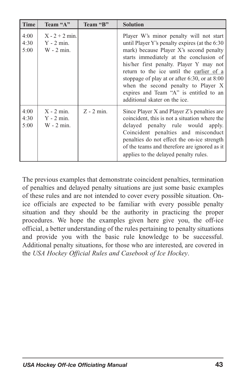| <b>Time</b>          | Team "A"                                         | Team "B"     | <b>Solution</b>                                                                                                                                                                                                                                                                                                                                                                                                                               |
|----------------------|--------------------------------------------------|--------------|-----------------------------------------------------------------------------------------------------------------------------------------------------------------------------------------------------------------------------------------------------------------------------------------------------------------------------------------------------------------------------------------------------------------------------------------------|
| 4:00<br>4:30<br>5:00 | $X - 2 + 2$ min.<br>$Y - 2$ min.<br>$W - 2$ min. |              | Player W's minor penalty will not start<br>until Player Y's penalty expires (at the 6:30<br>mark) because Player X's second penalty<br>starts immediately at the conclusion of<br>his/her first penalty. Player Y may not<br>return to the ice until the earlier of a<br>stoppage of play at or after $6:30$ , or at $8:00$<br>when the second penalty to Player X<br>expires and Team "A" is entitled to an<br>additional skater on the ice. |
| 4:00<br>4:30<br>5:00 | $X - 2$ min.<br>$Y - 2$ min.<br>$W - 2$ min.     | $Z - 2$ min. | Since Player X and Player Z's penalties are<br>coincident, this is not a situation where the<br>delayed penalty rule would apply.<br>Coincident penalties and misconduct<br>penalties do not effect the on-ice strength<br>of the teams and therefore are ignored as it<br>applies to the delayed penalty rules.                                                                                                                              |

The previous examples that demonstrate coincident penalties, termination of penalties and delayed penalty situations are just some basic examples of these rules and are not intended to cover every possible situation. Onice officials are expected to be familiar with every possible penalty situation and they should be the authority in practicing the proper procedures. We hope the examples given here give you, the off-ice official, a better understanding of the rules pertaining to penalty situations and provide you with the basic rule knowledge to be successful. Additional penalty situations, for those who are interested, are covered in the *USA Hockey Official Rules and Casebook of Ice Hockey*.